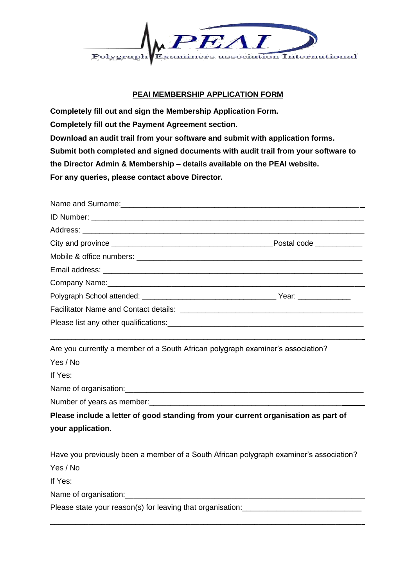

## **PEAI MEMBERSHIP APPLICATION FORM**

**Completely fill out and sign the Membership Application Form. Completely fill out the Payment Agreement section. Download an audit trail from your software and submit with application forms. Submit both completed and signed documents with audit trail from your software to the Director Admin & Membership – details available on the PEAI website. For any queries, please contact above Director.**

| Name and Surname: 1990 and 2000 and 2000 and 2000 and 2000 and 2000 and 2000 and 2000 and 2000 and 2000 and 20 |  |
|----------------------------------------------------------------------------------------------------------------|--|
|                                                                                                                |  |
|                                                                                                                |  |
|                                                                                                                |  |
|                                                                                                                |  |
|                                                                                                                |  |
|                                                                                                                |  |
|                                                                                                                |  |
|                                                                                                                |  |
|                                                                                                                |  |
| Are you currently a member of a South African polygraph examiner's association?                                |  |
| Yes / No                                                                                                       |  |
| If Yes:                                                                                                        |  |
|                                                                                                                |  |
|                                                                                                                |  |
| Please include a letter of good standing from your current organisation as part of                             |  |
| your application.                                                                                              |  |
| Have you previously been a member of a South African polygraph examiner's association?                         |  |
| Yes / No                                                                                                       |  |
| If Yes:                                                                                                        |  |
|                                                                                                                |  |
| Please state your reason(s) for leaving that organisation:                                                     |  |

\_\_\_\_\_\_\_\_\_\_\_\_\_\_\_\_\_\_\_\_\_\_\_\_\_\_\_\_\_\_\_\_\_\_\_\_\_\_\_\_\_\_\_\_\_\_\_\_\_\_\_\_\_\_\_\_\_\_\_\_\_\_\_\_\_\_\_\_\_\_\_\_\_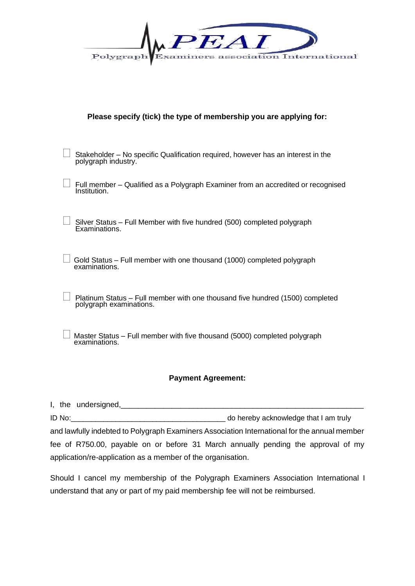| $\mathcal{F}$ , $\mathcal{F}$                 |  |
|-----------------------------------------------|--|
| Polygraph Examiners association International |  |

|  |  | Please specify (tick) the type of membership you are applying for: |  |  |
|--|--|--------------------------------------------------------------------|--|--|
|--|--|--------------------------------------------------------------------|--|--|

| $\Box$ Stakeholder – No specific Qualification required, however has an interest in the<br>polygraph industry. |
|----------------------------------------------------------------------------------------------------------------|
|                                                                                                                |

| $\Box$ Full member – Qualified as a Polygraph Examiner from an accredited or recognised<br>Institution. |  |
|---------------------------------------------------------------------------------------------------------|--|
|---------------------------------------------------------------------------------------------------------|--|

 Silver Status – Full Member with five hundred (500) completed polygraph Examinations.

 $\Box$  Gold Status – Full member with one thousand (1000) completed polygraph examinations.

Platinum Status – Full member with one thousand five hundred (1500) completed polygraph examinations.

 Master Status – Full member with five thousand (5000) completed polygraph examinations.

## **Payment Agreement:**

I, the undersigned, ID No:\_\_\_\_\_\_\_\_\_\_\_\_\_\_\_\_\_\_\_\_\_\_\_\_\_\_\_\_\_\_\_\_\_\_\_\_\_\_ do hereby acknowledge that I am truly and lawfully indebted to Polygraph Examiners Association International for the annual member fee of R750.00, payable on or before 31 March annually pending the approval of my application/re-application as a member of the organisation.

Should I cancel my membership of the Polygraph Examiners Association International I understand that any or part of my paid membership fee will not be reimbursed.